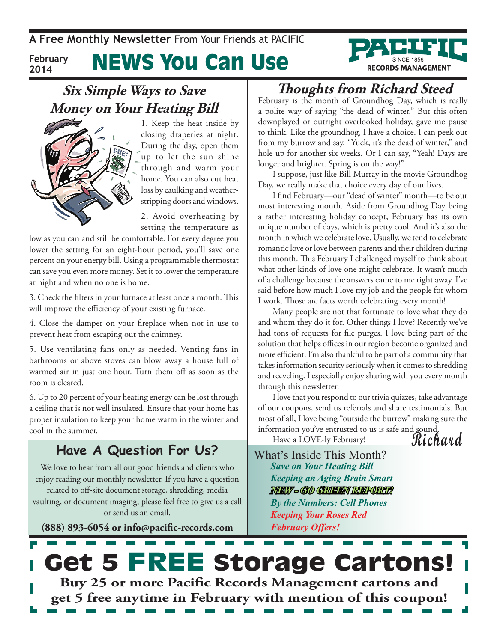**A Free Monthly Newsletter** From Your Friends at Pacific

#### News You Can Use **February 2014**

### **Six Simple Ways to Save Money on Your Heating Bill**



1. Keep the heat inside by closing draperies at night. During the day, open them up to let the sun shine through and warm your home. You can also cut heat loss by caulking and weatherstripping doors and windows.

2. Avoid overheating by setting the temperature as

low as you can and still be comfortable. For every degree you lower the setting for an eight-hour period, you'll save one percent on your energy bill. Using a programmable thermostat can save you even more money. Set it to lower the temperature at night and when no one is home.

3. Check the filters in your furnace at least once a month. This will improve the efficiency of your existing furnace.

4. Close the damper on your fireplace when not in use to prevent heat from escaping out the chimney.

5. Use ventilating fans only as needed. Venting fans in bathrooms or above stoves can blow away a house full of warmed air in just one hour. Turn them off as soon as the room is cleared.

6. Up to 20 percent of your heating energy can be lost through a ceiling that is not well insulated. Ensure that your home has proper insulation to keep your home warm in the winter and cool in the summer.

### **Have A Question For Us?**

We love to hear from all our good friends and clients who enjoy reading our monthly newsletter. If you have a question related to off-site document storage, shredding, media vaulting, or document imaging, please feel free to give us a call or send us an email.

**(888) 893-6054 or info@pacific-records.com**

## **Thoughts from Richard Steed**

**RECORDS MANAGEMENT** 

February is the month of Groundhog Day, which is really a polite way of saying "the dead of winter." But this often downplayed or outright overlooked holiday, gave me pause to think. Like the groundhog, I have a choice. I can peek out from my burrow and say, "Yuck, it's the dead of winter," and hole up for another six weeks. Or I can say, "Yeah! Days are longer and brighter. Spring is on the way!"

I suppose, just like Bill Murray in the movie Groundhog Day, we really make that choice every day of our lives.

I find February—our "dead of winter" month—to be our most interesting month. Aside from Groundhog Day being a rather interesting holiday concept, February has its own unique number of days, which is pretty cool. And it's also the month in which we celebrate love. Usually, we tend to celebrate romantic love or love between parents and their children during this month. This February I challenged myself to think about what other kinds of love one might celebrate. It wasn't much of a challenge because the answers came to me right away. I've said before how much I love my job and the people for whom I work. Those are facts worth celebrating every month!

Many people are not that fortunate to love what they do and whom they do it for. Other things I love? Recently we've had tons of requests for file purges. I love being part of the solution that helps offices in our region become organized and more efficient. I'm also thankful to be part of a community that takes information security seriously when it comes to shredding and recycling. I especially enjoy sharing with you every month through this newsletter.

I love that you respond to our trivia quizzes, take advantage of our coupons, send us referrals and share testimonials. But most of all, I love being "outside the burrow" making sure the information you've entrusted to us is safe and sound.

**Richard** Have a LOVE-ly February!

What's Inside This Month? *Save on Your Heating Bill Keeping an Aging Brain Smart NEW - GO GREEN REPORT! By the Numbers: Cell Phones Keeping Your Roses Red February Offers!*

# Get 5 FREE Storage Cartons! **Buy 25 or more Pacific Records Management cartons and get 5 free anytime in February with mention of this coupon!**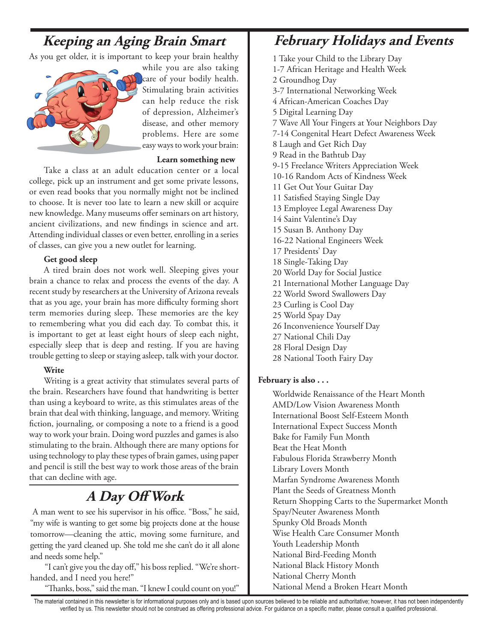## **Keeping an Aging Brain Smart**

As you get older, it is important to keep your brain healthy



while you are also taking care of your bodily health. Stimulating brain activities can help reduce the risk of depression, Alzheimer's disease, and other memory problems. Here are some easy ways to work your brain:

#### **Learn something new**

Take a class at an adult education center or a local college, pick up an instrument and get some private lessons, or even read books that you normally might not be inclined to choose. It is never too late to learn a new skill or acquire new knowledge. Many museums offer seminars on art history, ancient civilizations, and new findings in science and art. Attending individual classes or even better, enrolling in a series of classes, can give you a new outlet for learning.

#### **Get good sleep**

A tired brain does not work well. Sleeping gives your brain a chance to relax and process the events of the day. A recent study by researchers at the University of Arizona reveals that as you age, your brain has more difficulty forming short term memories during sleep. These memories are the key to remembering what you did each day. To combat this, it is important to get at least eight hours of sleep each night, especially sleep that is deep and resting. If you are having trouble getting to sleep or staying asleep, talk with your doctor.

### **Write**

Writing is a great activity that stimulates several parts of the brain. Researchers have found that handwriting is better than using a keyboard to write, as this stimulates areas of the brain that deal with thinking, language, and memory. Writing fiction, journaling, or composing a note to a friend is a good way to work your brain. Doing word puzzles and games is also stimulating to the brain. Although there are many options for using technology to play these types of brain games, using paper and pencil is still the best way to work those areas of the brain that can decline with age.

## **A Day Off Work**

 A man went to see his supervisor in his office. "Boss," he said, "my wife is wanting to get some big projects done at the house tomorrow—cleaning the attic, moving some furniture, and getting the yard cleaned up. She told me she can't do it all alone and needs some help."

"I can't give you the day off," his boss replied. "We're shorthanded, and I need you here!"

"Thanks, boss," said the man. "I knew I could count on you!"

### **February Holidays and Events**

1 Take your Child to the Library Day 1-7 African Heritage and Health Week 2 Groundhog Day 3-7 International Networking Week 4 African-American Coaches Day 5 Digital Learning Day 7 Wave All Your Fingers at Your Neighbors Day 7-14 Congenital Heart Defect Awareness Week 8 Laugh and Get Rich Day 9 Read in the Bathtub Day 9-15 Freelance Writers Appreciation Week 10-16 Random Acts of Kindness Week 11 Get Out Your Guitar Day 11 Satisfied Staying Single Day 13 Employee Legal Awareness Day 14 Saint Valentine's Day 15 Susan B. Anthony Day 16-22 National Engineers Week 17 Presidents' Day 18 Single-Taking Day 20 World Day for Social Justice 21 International Mother Language Day 22 World Sword Swallowers Day 23 Curling is Cool Day 25 World Spay Day 26 Inconvenience Yourself Day 27 National Chili Day 28 Floral Design Day 28 National Tooth Fairy Day

### **February is also . . .**

Worldwide Renaissance of the Heart Month AMD/Low Vision Awareness Month International Boost Self-Esteem Month International Expect Success Month Bake for Family Fun Month Beat the Heat Month Fabulous Florida Strawberry Month Library Lovers Month Marfan Syndrome Awareness Month Plant the Seeds of Greatness Month Return Shopping Carts to the Supermarket Month Spay/Neuter Awareness Month Spunky Old Broads Month Wise Health Care Consumer Month Youth Leadership Month National Bird-Feeding Month National Black History Month National Cherry Month National Mend a Broken Heart Month

The material contained in this newsletter is for informational purposes only and is based upon sources believed to be reliable and authoritative; however, it has not been independently verified by us. This newsletter should not be construed as offering professional advice. For guidance on a specific matter, please consult a qualified professional.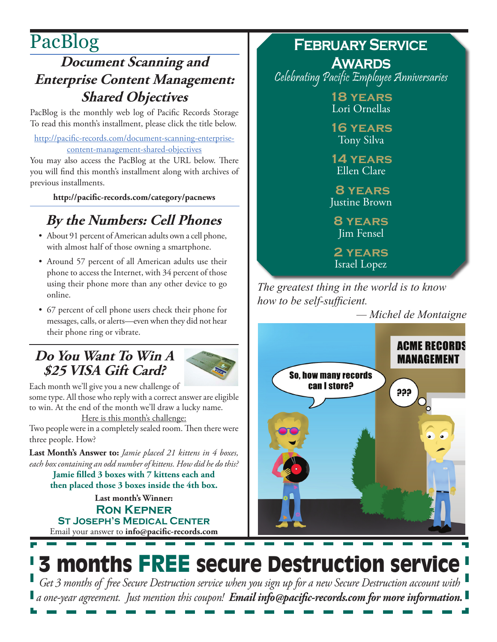# PacBlog

## **Document Scanning and Enterprise Content Management: Shared Objectives**

PacBlog is the monthly web log of Pacific Records Storage To read this month's installment, please click the title below.

[http://pacific-records.com/document-scanning-enterprise](http://pacific-records.com/document-scanning-enterprise-content-management-shared-objectives)[content-management-shared-objectives](http://pacific-records.com/document-scanning-enterprise-content-management-shared-objectives)

You may also access the PacBlog at the URL below. There you will find this month's installment along with archives of previous installments.

**<http://pacific-records.com/category/pacnews>**

## **By the Numbers: Cell Phones**

- • About 91 percent of American adults own a cell phone, with almost half of those owning a smartphone.
- Around 57 percent of all American adults use their phone to access the Internet, with 34 percent of those using their phone more than any other device to go online.
- • 67 percent of cell phone users check their phone for messages, calls, or alerts—even when they did not hear their phone ring or vibrate.

### **Do You Want To Win A \$25 VISA Gift Card?**



Each month we'll give you a new challenge of some type. All those who reply with a correct answer are eligible to win. At the end of the month we'll draw a lucky name.

Here is this month's challenge:

Two people were in a completely sealed room. Then there were three people. How?

**Last Month's Answer to:** *Jamie placed 21 kittens in 4 boxes, each box containing an odd number of kittens. How did he do this?* **Jamie filled 3 boxes with 7 kittens each and**

**then placed those 3 boxes inside the 4th box.**

Email your answer to **info@pacific-records.com Last month's Winner: Ron Kepner St Joseph's Medical Center**

### **February Service Awards**

Celebrating Pacific Employee Anniversaries

**18 years** Lori Ornellas

**16 years** Tony Silva

**14 years** Ellen Clare

 **8 years** Justine Brown

**8 years** Jim Fensel

**2 years** Israel Lopez

*The greatest thing in the world is to know how to be self-sufficient.*

*— Michel de Montaigne*



# 3 months FREE secure Destruction service

*Get 3 months of free Secure Destruction service when you sign up for a new Secure Destruction account with a one-year agreement. Just mention this coupon! Email info@pacific-records.com for more information.*